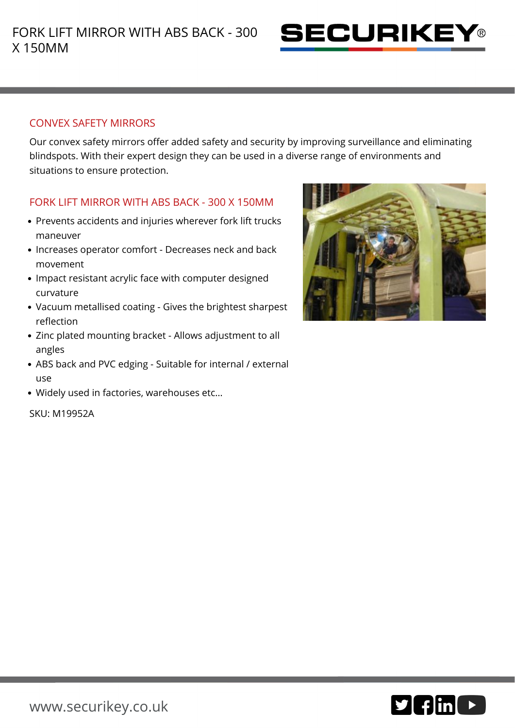

## CONVEX SAFETY MIRRORS

Our convex safety mirrors offer added safety and security by improving surveillance and eliminating blindspots. With their expert design they can be used in a diverse range of environments and situations to ensure protection.

## FORK LIFT MIRROR WITH ABS BACK - 300 X 150MM

- Prevents accidents and injuries wherever fork lift trucks maneuver
- Increases operator comfort Decreases neck and back movement
- Impact resistant acrylic face with computer designed curvature
- Vacuum metallised coating Gives the brightest sharpest reflection
- Zinc plated mounting bracket Allows adjustment to all angles
- ABS back and PVC edging Suitable for internal / external use
- Widely used in factories, warehouses etc…

SKU: M19952A



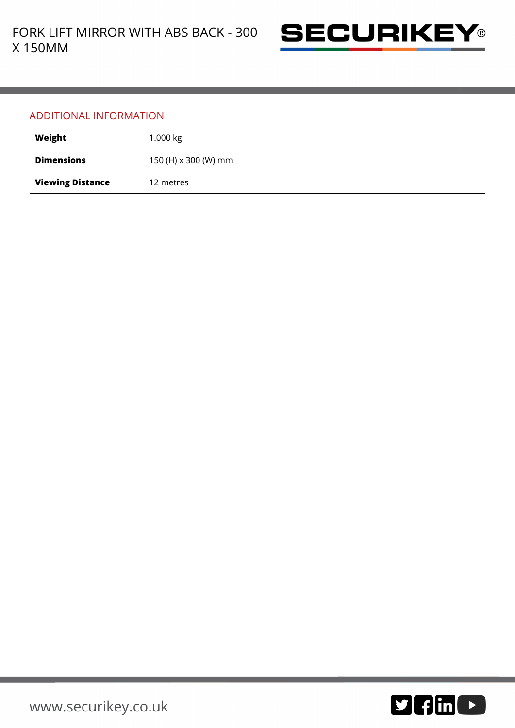

## ADDITIONAL INFORMATION

| Weight                  | 1.000 $kg$           |
|-------------------------|----------------------|
| <b>Dimensions</b>       | 150 (H) x 300 (W) mm |
| <b>Viewing Distance</b> | 12 metres            |

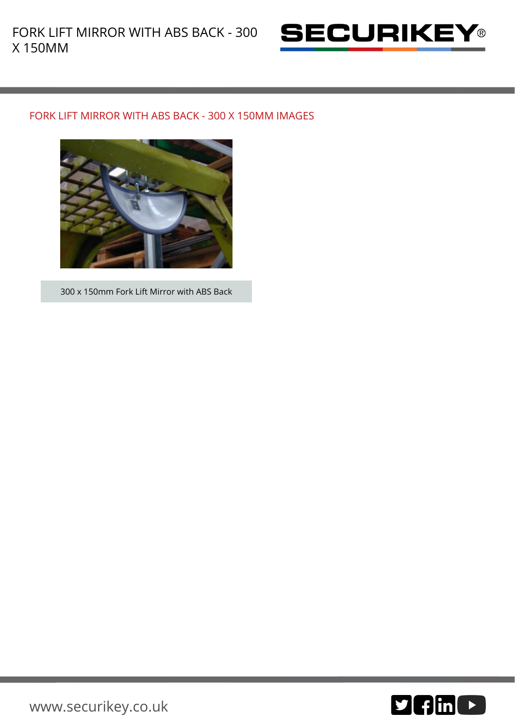

## FORK LIFT MIRROR WITH ABS BACK - 300 X 150MM IMAGES



300 x 150mm Fork Lift Mirror with ABS Back